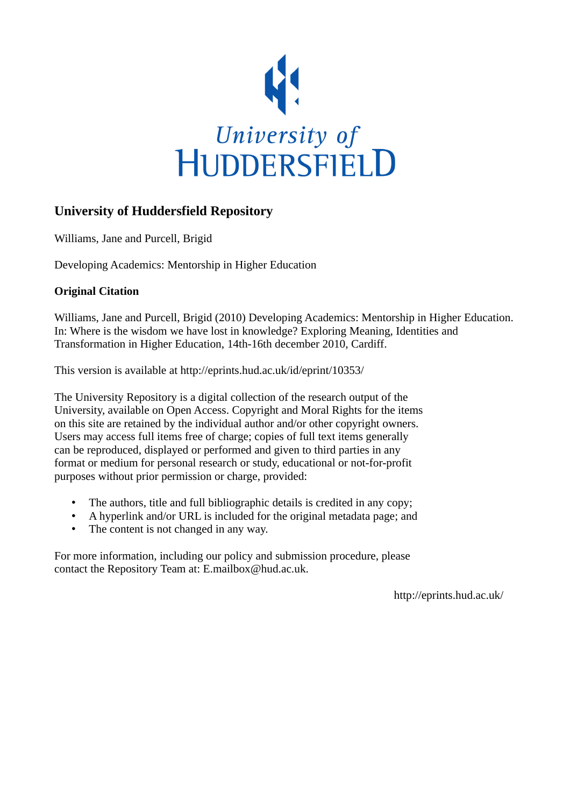

## **University of Huddersfield Repository**

Williams, Jane and Purcell, Brigid

Developing Academics: Mentorship in Higher Education

## **Original Citation**

Williams, Jane and Purcell, Brigid (2010) Developing Academics: Mentorship in Higher Education. In: Where is the wisdom we have lost in knowledge? Exploring Meaning, Identities and Transformation in Higher Education, 14th-16th december 2010, Cardiff.

This version is available at http://eprints.hud.ac.uk/id/eprint/10353/

The University Repository is a digital collection of the research output of the University, available on Open Access. Copyright and Moral Rights for the items on this site are retained by the individual author and/or other copyright owners. Users may access full items free of charge; copies of full text items generally can be reproduced, displayed or performed and given to third parties in any format or medium for personal research or study, educational or not-for-profit purposes without prior permission or charge, provided:

- The authors, title and full bibliographic details is credited in any copy;
- A hyperlink and/or URL is included for the original metadata page; and
- The content is not changed in any way.

For more information, including our policy and submission procedure, please contact the Repository Team at: E.mailbox@hud.ac.uk.

http://eprints.hud.ac.uk/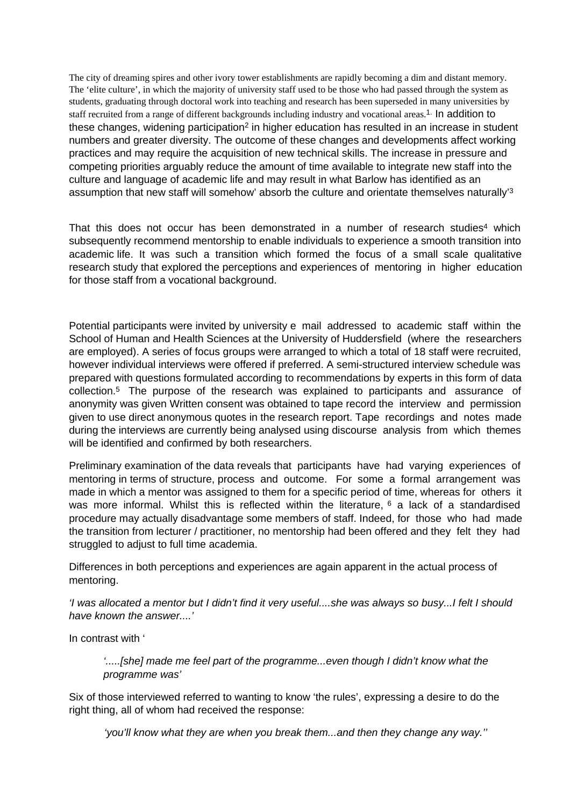The city of dreaming spires and other ivory tower establishments are rapidly becoming a dim and distant memory. The 'elite culture', in which the majority of university staff used to be those who had passed through the system as students, graduating through doctoral work into teaching and research has been superseded in many universities by staff recruited from a range of different backgrounds including industry and vocational areas.<sup>1.</sup> In addition to these changes, widening participation<sup>2</sup> in higher education has resulted in an increase in student numbers and greater diversity. The outcome of these changes and developments affect working practices and may require the acquisition of new technical skills. The increase in pressure and competing priorities arguably reduce the amount of time available to integrate new staff into the culture and language of academic life and may result in what Barlow has identified as an assumption that new staff will somehow' absorb the culture and orientate themselves naturally'<sup>3</sup>

That this does not occur has been demonstrated in a number of research studies<sup>4</sup> which subsequently recommend mentorship to enable individuals to experience a smooth transition into academic life. It was such a transition which formed the focus of a small scale qualitative research study that explored the perceptions and experiences of mentoring in higher education for those staff from a vocational background.

Potential participants were invited by university e mail addressed to academic staff within the School of Human and Health Sciences at the University of Huddersfield (where the researchers are employed). A series of focus groups were arranged to which a total of 18 staff were recruited, however individual interviews were offered if preferred. A semi-structured interview schedule was prepared with questions formulated according to recommendations by experts in this form of data collection.<sup>5</sup> The purpose of the research was explained to participants and assurance of anonymity was given Written consent was obtained to tape record the interview and permission given to use direct anonymous quotes in the research report. Tape recordings and notes made during the interviews are currently being analysed using discourse analysis from which themes will be identified and confirmed by both researchers.

Preliminary examination of the data reveals that participants have had varying experiences of mentoring in terms of structure, process and outcome. For some a formal arrangement was made in which a mentor was assigned to them for a specific period of time, whereas for others it was more informal. Whilst this is reflected within the literature,  $6$  a lack of a standardised procedure may actually disadvantage some members of staff. Indeed, for those who had made the transition from lecturer / practitioner, no mentorship had been offered and they felt they had struggled to adjust to full time academia.

Differences in both perceptions and experiences are again apparent in the actual process of mentoring.

'I was allocated a mentor but I didn't find it very useful....she was always so busy...I felt I should have known the answer....'

In contrast with '

'.....[she] made me feel part of the programme...even though I didn't know what the programme was'

Six of those interviewed referred to wanting to know 'the rules', expressing a desire to do the right thing, all of whom had received the response:

'you'll know what they are when you break them...and then they change any way.''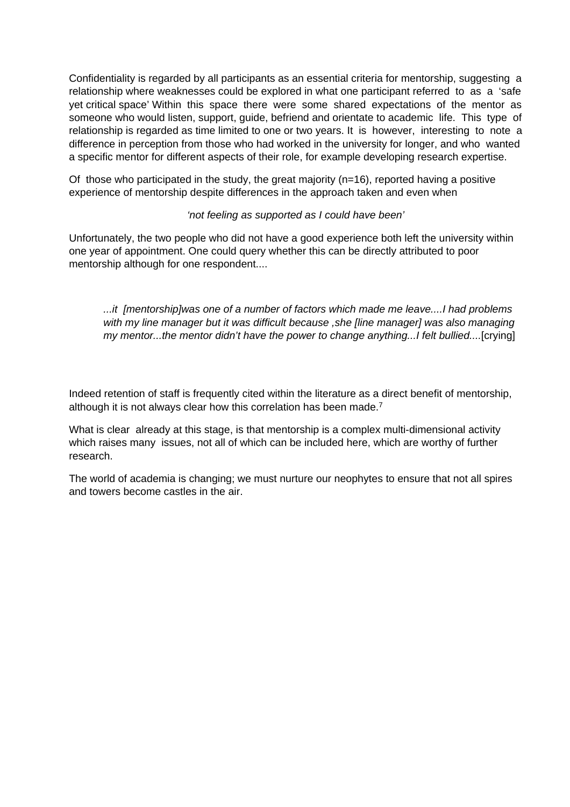Confidentiality is regarded by all participants as an essential criteria for mentorship, suggesting a relationship where weaknesses could be explored in what one participant referred to as a 'safe yet critical space' Within this space there were some shared expectations of the mentor as someone who would listen, support, guide, befriend and orientate to academic life. This type of relationship is regarded as time limited to one or two years. It is however, interesting to note a difference in perception from those who had worked in the university for longer, and who wanted a specific mentor for different aspects of their role, for example developing research expertise.

Of those who participated in the study, the great majority ( $n=16$ ), reported having a positive experience of mentorship despite differences in the approach taken and even when

## 'not feeling as supported as I could have been'

Unfortunately, the two people who did not have a good experience both left the university within one year of appointment. One could query whether this can be directly attributed to poor mentorship although for one respondent....

...it [mentorship]was one of a number of factors which made me leave....I had problems with my line manager but it was difficult because , she [line manager] was also managing my mentor...the mentor didn't have the power to change anything...I felt bullied....[crying]

Indeed retention of staff is frequently cited within the literature as a direct benefit of mentorship, although it is not always clear how this correlation has been made.<sup>7</sup>

What is clear already at this stage, is that mentorship is a complex multi-dimensional activity which raises many issues, not all of which can be included here, which are worthy of further research.

The world of academia is changing; we must nurture our neophytes to ensure that not all spires and towers become castles in the air.